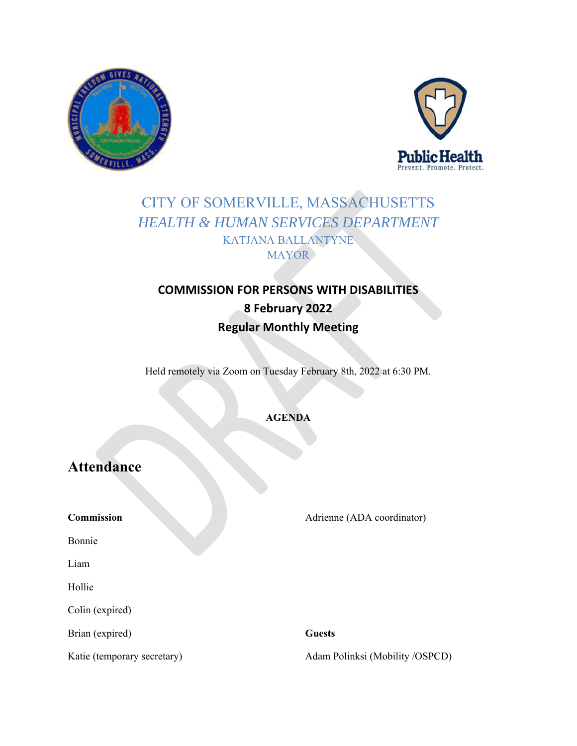



# CITY OF SOMERVILLE, MASSACHUSETTS *HEALTH & HUMAN SERVICES DEPARTMENT*  KATJANA BALLANTYNE **MAYOR**

# **COMMISSION FOR PERSONS WITH DISABILITIES 8 February 2022 Regular Monthly Meeting**

Held remotely via Zoom on Tuesday February 8th, 2022 at 6:30 PM.

### **AGENDA**

# **Attendance**

**Commission** 

Adrienne (ADA coordinator)

Bonnie

Liam

Hollie

Colin (expired)

Brian (expired)

#### **Guests**

Katie (temporary secretary)

Adam Polinksi (Mobility /OSPCD)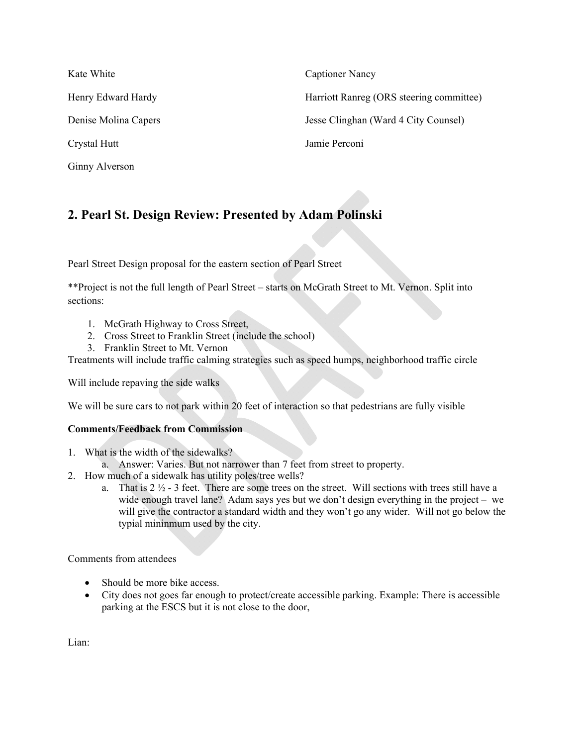| Kate White           | <b>Captioner Nancy</b>                   |
|----------------------|------------------------------------------|
| Henry Edward Hardy   | Harriott Ranreg (ORS steering committee) |
| Denise Molina Capers | Jesse Clinghan (Ward 4 City Counsel)     |
| Crystal Hutt         | Jamie Perconi                            |
| Ginny Alverson       |                                          |

## **2. Pearl St. Design Review: Presented by Adam Polinski**

Pearl Street Design proposal for the eastern section of Pearl Street

\*\*Project is not the full length of Pearl Street – starts on McGrath Street to Mt. Vernon. Split into sections:

- 1. McGrath Highway to Cross Street,
- 2. Cross Street to Franklin Street (include the school)
- 3. Franklin Street to Mt. Vernon

Treatments will include traffic calming strategies such as speed humps, neighborhood traffic circle

Will include repaving the side walks

We will be sure cars to not park within 20 feet of interaction so that pedestrians are fully visible

#### **Comments/Feedback from Commission**

- 1. What is the width of the sidewalks?
- a. Answer: Varies. But not narrower than 7 feet from street to property.
- 2. How much of a sidewalk has utility poles/tree wells?
	- a. That is  $2 \frac{1}{2}$  3 feet. There are some trees on the street. Will sections with trees still have a wide enough travel lane? Adam says yes but we don't design everything in the project – we will give the contractor a standard width and they won't go any wider. Will not go below the typial mininmum used by the city.

Comments from attendees

- Should be more bike access.
- City does not goes far enough to protect/create accessible parking. Example: There is accessible parking at the ESCS but it is not close to the door,

Lian: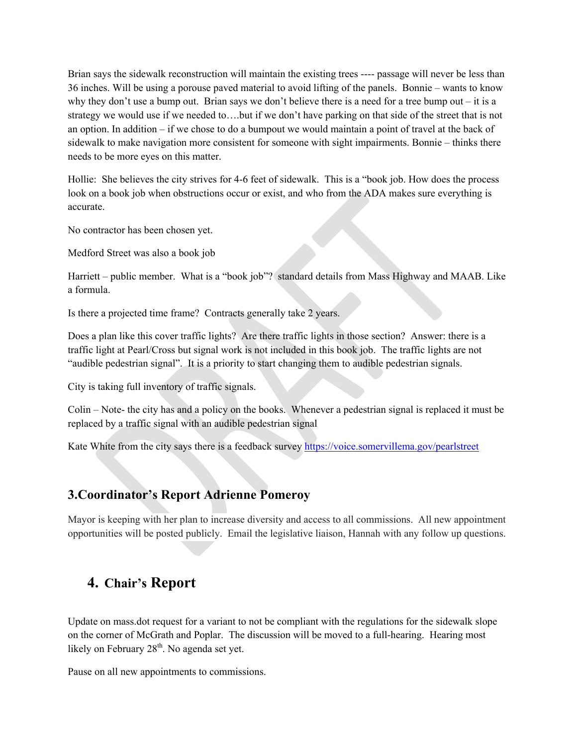Brian says the sidewalk reconstruction will maintain the existing trees ---- passage will never be less than 36 inches. Will be using a porouse paved material to avoid lifting of the panels. Bonnie – wants to know why they don't use a bump out. Brian says we don't believe there is a need for a tree bump out – it is a strategy we would use if we needed to….but if we don't have parking on that side of the street that is not an option. In addition – if we chose to do a bumpout we would maintain a point of travel at the back of sidewalk to make navigation more consistent for someone with sight impairments. Bonnie – thinks there needs to be more eyes on this matter.

Hollie: She believes the city strives for 4-6 feet of sidewalk. This is a "book job. How does the process look on a book job when obstructions occur or exist, and who from the ADA makes sure everything is accurate.

No contractor has been chosen yet.

Medford Street was also a book job

Harriett – public member. What is a "book job"? standard details from Mass Highway and MAAB. Like a formula.

Is there a projected time frame? Contracts generally take 2 years.

Does a plan like this cover traffic lights? Are there traffic lights in those section? Answer: there is a traffic light at Pearl/Cross but signal work is not included in this book job. The traffic lights are not "audible pedestrian signal". It is a priority to start changing them to audible pedestrian signals.

City is taking full inventory of traffic signals.

Colin – Note- the city has and a policy on the books. Whenever a pedestrian signal is replaced it must be replaced by a traffic signal with an audible pedestrian signal

Kate White from the city says there is a feedback survey https://voice.somervillema.gov/pearlstreet

### **3.Coordinator's Report Adrienne Pomeroy**

Mayor is keeping with her plan to increase diversity and access to all commissions. All new appointment opportunities will be posted publicly. Email the legislative liaison, Hannah with any follow up questions.

## **4. Chair's Report**

Update on mass.dot request for a variant to not be compliant with the regulations for the sidewalk slope on the corner of McGrath and Poplar. The discussion will be moved to a full-hearing. Hearing most likely on February  $28<sup>th</sup>$ . No agenda set yet.

Pause on all new appointments to commissions.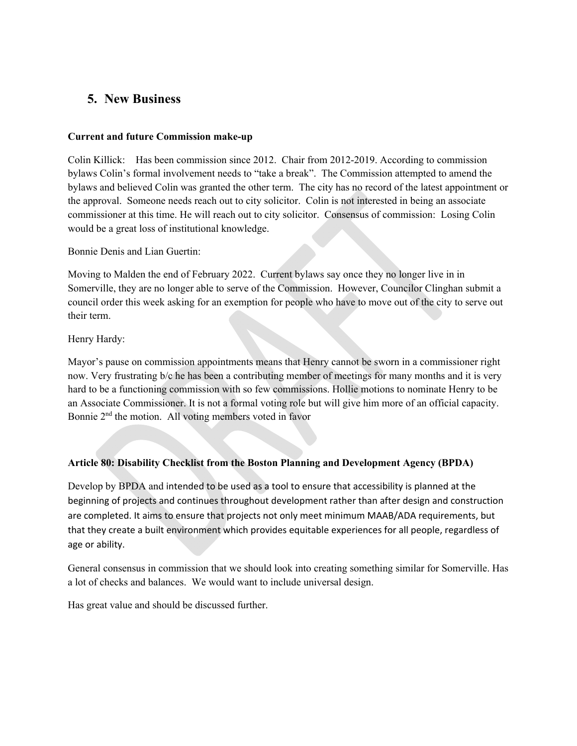### **5. New Business**

#### **Current and future Commission make-up**

Colin Killick: Has been commission since 2012. Chair from 2012-2019. According to commission bylaws Colin's formal involvement needs to "take a break". The Commission attempted to amend the bylaws and believed Colin was granted the other term. The city has no record of the latest appointment or the approval. Someone needs reach out to city solicitor. Colin is not interested in being an associate commissioner at this time. He will reach out to city solicitor. Consensus of commission: Losing Colin would be a great loss of institutional knowledge.

### Bonnie Denis and Lian Guertin:

Moving to Malden the end of February 2022. Current bylaws say once they no longer live in in Somerville, they are no longer able to serve of the Commission. However, Councilor Clinghan submit a council order this week asking for an exemption for people who have to move out of the city to serve out their term.

### Henry Hardy:

Mayor's pause on commission appointments means that Henry cannot be sworn in a commissioner right now. Very frustrating b/c he has been a contributing member of meetings for many months and it is very hard to be a functioning commission with so few commissions. Hollie motions to nominate Henry to be an Associate Commissioner. It is not a formal voting role but will give him more of an official capacity. Bonnie 2<sup>nd</sup> the motion. All voting members voted in favor

### **Article 80: Disability Checklist from the Boston Planning and Development Agency (BPDA)**

Develop by BPDA and intended to be used as a tool to ensure that accessibility is planned at the beginning of projects and continues throughout development rather than after design and construction are completed. It aims to ensure that projects not only meet minimum MAAB/ADA requirements, but that they create a built environment which provides equitable experiences for all people, regardless of age or ability.

General consensus in commission that we should look into creating something similar for Somerville. Has a lot of checks and balances. We would want to include universal design.

Has great value and should be discussed further.